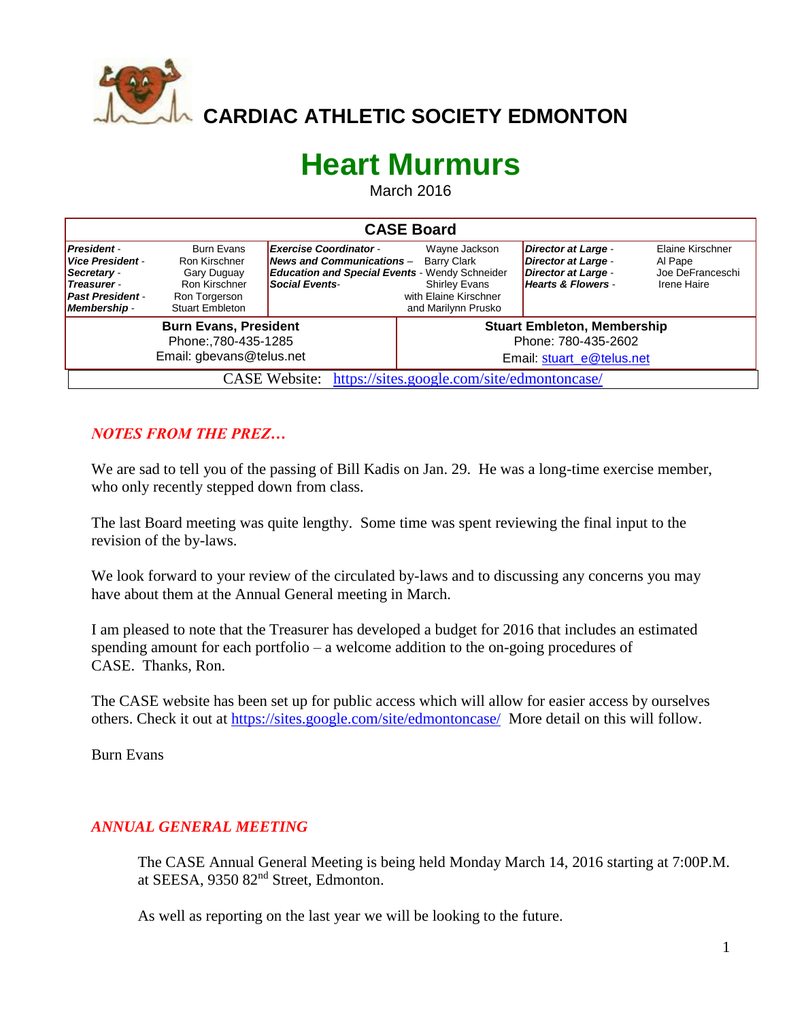

 **CARDIAC ATHLETIC SOCIETY EDMONTON**

## **Heart Murmurs**

March 2016

| <b>CASE Board</b>                                                                                                    |                                                                                                               |                                                                                                                                                   |                                                                                                             |                                                                                         |                                                                |  |  |  |
|----------------------------------------------------------------------------------------------------------------------|---------------------------------------------------------------------------------------------------------------|---------------------------------------------------------------------------------------------------------------------------------------------------|-------------------------------------------------------------------------------------------------------------|-----------------------------------------------------------------------------------------|----------------------------------------------------------------|--|--|--|
| <b>President</b><br>Vice President -<br>Secretary -<br><b>Treasurer</b> -<br><b>Past President -</b><br>Membership - | <b>Burn Evans</b><br>Ron Kirschner<br>Gary Duguay<br>Ron Kirschner<br>Ron Torgerson<br><b>Stuart Embleton</b> | <b>Exercise Coordinator-</b><br><b>News and Communications -</b><br><b>Education and Special Events - Wendy Schneider</b><br><b>Social Events</b> | Wayne Jackson<br><b>Barry Clark</b><br><b>Shirley Evans</b><br>with Elaine Kirschner<br>and Marilynn Prusko | Director at Large -<br>Director at Large -<br>Director at Large -<br>Hearts & Flowers - | Elaine Kirschner<br>Al Pape<br>Joe DeFranceschi<br>Irene Haire |  |  |  |
| <b>Burn Evans, President</b><br>Phone:, 780-435-1285<br>Email: gbevans@telus.net                                     |                                                                                                               |                                                                                                                                                   | <b>Stuart Embleton, Membership</b><br>Phone: 780-435-2602<br>Email: stuart e@telus.net                      |                                                                                         |                                                                |  |  |  |
| CASE Website: https://sites.google.com/site/edmontoncase/                                                            |                                                                                                               |                                                                                                                                                   |                                                                                                             |                                                                                         |                                                                |  |  |  |

## *NOTES FROM THE PREZ…*

We are sad to tell you of the passing of Bill Kadis on Jan. 29. He was a long-time exercise member, who only recently stepped down from class.

The last Board meeting was quite lengthy. Some time was spent reviewing the final input to the revision of the by-laws.

We look forward to your review of the circulated by-laws and to discussing any concerns you may have about them at the Annual General meeting in March.

I am pleased to note that the Treasurer has developed a budget for 2016 that includes an estimated spending amount for each portfolio – a welcome addition to the on-going procedures of CASE. Thanks, Ron.

The CASE website has been set up for public access which will allow for easier access by ourselves others. Check it out at<https://sites.google.com/site/edmontoncase/> More detail on this will follow.

Burn Evans

## *ANNUAL GENERAL MEETING*

The CASE Annual General Meeting is being held Monday March 14, 2016 starting at 7:00P.M. at SEESA, 9350 82nd Street, Edmonton.

As well as reporting on the last year we will be looking to the future.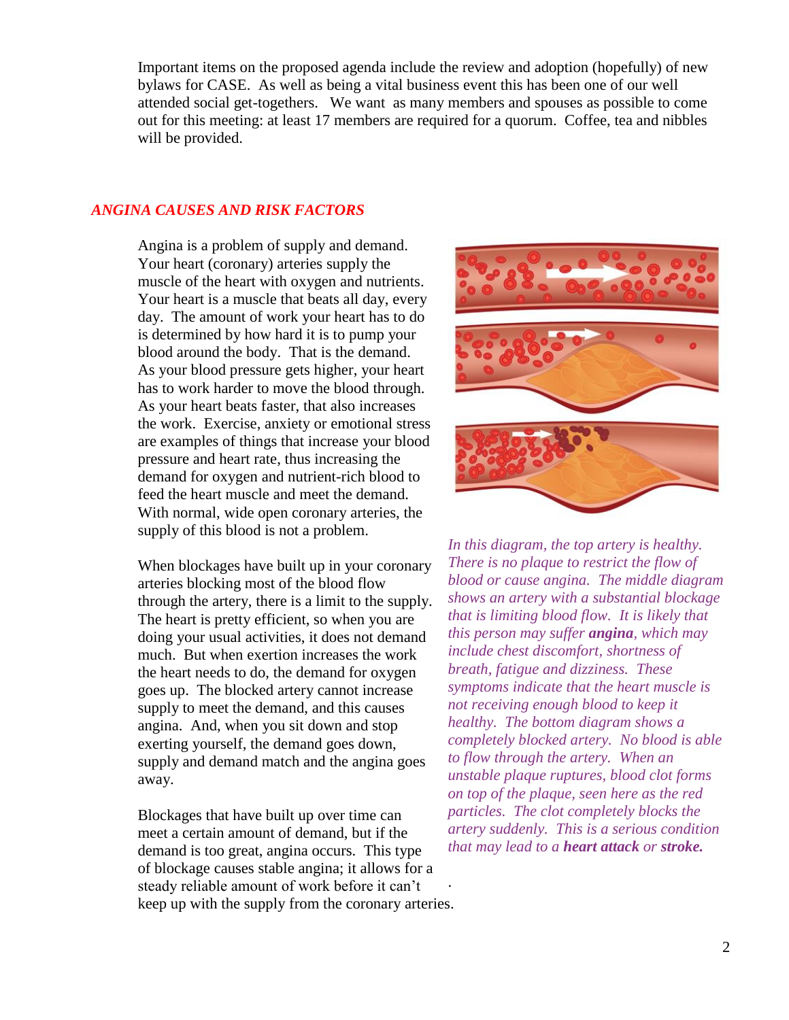Important items on the proposed agenda include the review and adoption (hopefully) of new bylaws for CASE. As well as being a vital business event this has been one of our well attended social get-togethers. We want as many members and spouses as possible to come out for this meeting: at least 17 members are required for a quorum. Coffee, tea and nibbles will be provided.

## *ANGINA CAUSES AND RISK FACTORS*

Angina is a problem of supply and demand. Your heart (coronary) arteries supply the muscle of the heart with oxygen and nutrients. Your heart is a muscle that beats all day, every day. The amount of work your heart has to do is determined by how hard it is to pump your blood around the body. That is the demand. As your blood pressure gets higher, your heart has to work harder to move the blood through. As your heart beats faster, that also increases the work. Exercise, anxiety or emotional stress are examples of things that increase your blood pressure and heart rate, thus increasing the demand for oxygen and nutrient-rich blood to feed the heart muscle and meet the demand. With normal, wide open coronary arteries, the supply of this blood is not a problem.

When blockages have built up in your coronary arteries blocking most of the blood flow through the artery, there is a limit to the supply. The heart is pretty efficient, so when you are doing your usual activities, it does not demand much. But when exertion increases the work the heart needs to do, the demand for oxygen goes up. The blocked artery cannot increase supply to meet the demand, and this causes [angina.](http://www.secondscount.org/heart-condition-centers/angina-chest-pain) And, when you sit down and stop exerting yourself, the demand goes down, supply and demand match and the angina goes away.

Blockages that have built up over time can meet a certain amount of demand, but if the demand is too great, angina occurs. This type of blockage causes [stable angina;](http://www.secondscount.org/heart-condition-centers/info-detail?cid=4da66427-f683-43d4-9fa3-8260b1ce4847) it allows for a steady reliable amount of work before it can't keep up with the supply from the coronary arteries. .



*In this diagram, the top artery is healthy. There is no plaque to restrict the flow of blood or cause angina. The middle diagram shows an artery with a substantial blockage that is limiting blood flow. It is likely that this person may suffer angina, which may include chest discomfort, shortness of breath, fatigue and dizziness. These symptoms indicate that the heart muscle is not receiving enough blood to keep it healthy. The bottom diagram shows a completely blocked artery. No blood is able to flow through the artery. When an unstable plaque ruptures, blood clot forms on top of the plaque, seen here as the red particles. The clot completely blocks the artery suddenly. This is a serious condition that may lead to a heart attack or stroke.*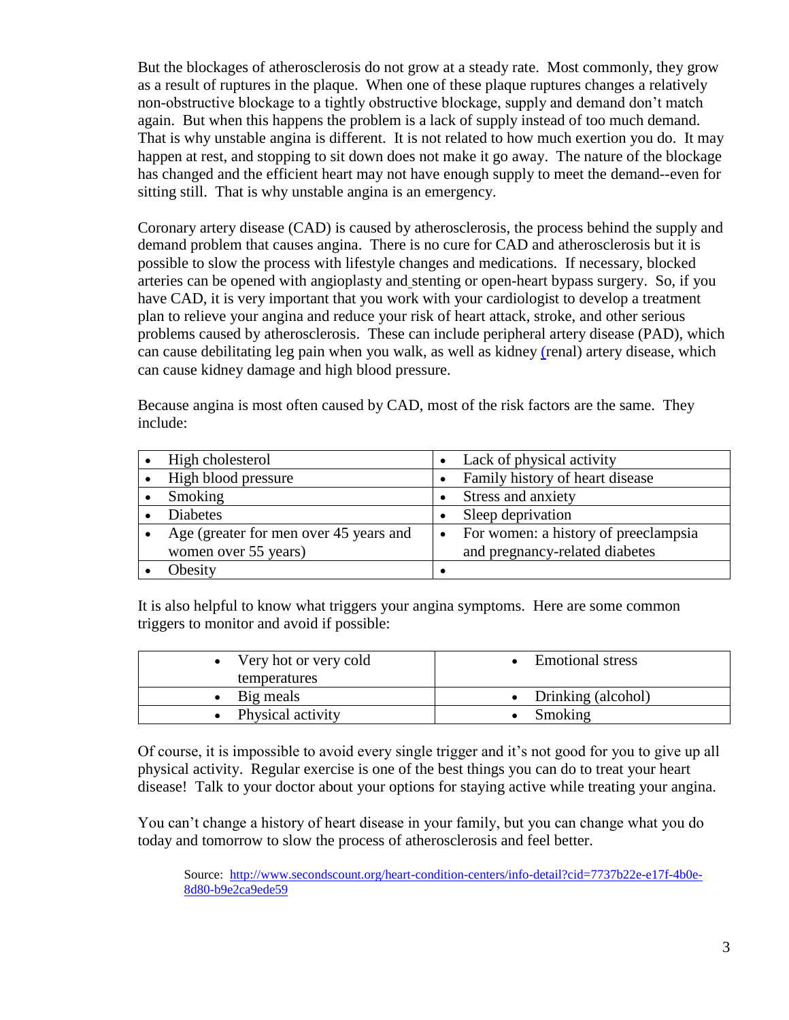But the blockages of atherosclerosis do not grow at a steady rate. Most commonly, they grow as a result of ruptures in the [plaque.](http://www.secondscount.org/heart-condition-centers/info-detail?cid=fb5ce6b9-7e63-491e-9344-5b3a07c519c3) When one of these plaque ruptures changes a relatively non-obstructive blockage to a tightly obstructive blockage, supply and demand don't match again. But when this happens the problem is a lack of supply instead of too much demand. That is why unstable angina is different. It is not related to how much exertion you do. It may happen at rest, and stopping to sit down does not make it go away. The nature of the blockage has changed and the efficient heart may not have enough supply to meet the demand--even for sitting still. That is why unstable angina is an emergency.

[Coronary artery disease \(CAD\)](http://www.secondscount.org/heart-condition-centers/coronary-artery-disease) is caused by atherosclerosis, the process behind the supply and demand problem that causes angina. There is no cure for CAD and atherosclerosis but it is possible to slow the process with lifestyle changes and medications. If necessary, blocked arteries can be opened with [angioplasty and](http://www.secondscount.org/treatments/angioplasty-stents) stenting or [open-heart bypass surgery.](http://www.secondscount.org/treatments/coronary-bypass-surgery) So, if you have CAD, it is very important that you work with your cardiologist to develop a treatment plan to relieve your angina and reduce your risk of [heart attack,](http://www.secondscount.org/heart-condition-centers/heart-attack) [stroke,](http://www.secondscount.org/heart-condition-centers/stoke) and other serious problems caused by atherosclerosis. These can include [peripheral artery disease \(PAD\),](http://www.secondscount.org/heart-condition-centers/peripheral-artery-disease-pad) which can cause debilitating leg pain when you walk, as well as kidney [\(renal\) artery disease,](http://www.secondscount.org/heart-condition-centers/renal-kidney-artery-disease) which can cause kidney damage and high blood pressure.

Because angina is most often caused by CAD, most of the [risk factors](http://www.secondscount.org/treatments/risk-factor-modification-treatments) are the same. They include:

| High cholesterol                       | Lack of physical activity                         |
|----------------------------------------|---------------------------------------------------|
| High blood pressure                    | Family history of heart disease                   |
| Smoking                                | Stress and anxiety                                |
| <b>Diabetes</b>                        | Sleep deprivation                                 |
| Age (greater for men over 45 years and | For women: a history of preeclampsia<br>$\bullet$ |
| women over 55 years)                   | and pregnancy-related diabetes                    |
| Obesity                                |                                                   |

It is also helpful to know what triggers your angina symptoms. Here are some common triggers to monitor and avoid if possible:

| • Very hot or very cold | <b>Emotional stress</b> |
|-------------------------|-------------------------|
| temperatures            |                         |
| $\bullet$ Big meals     | • Drinking (alcohol)    |
| Physical activity       | Smoking                 |

Of course, it is impossible to avoid every single trigger and it's not good for you to give up all physical activity. Regular exercise is one of the best things you can do to treat your heart disease! Talk to your doctor about your options for staying active while treating your angina.

You can't change a history of heart disease in your family, but you can change what you do today and tomorrow to slow the process of atherosclerosis and feel better.

Source: [http://www.secondscount.org/heart-condition-centers/info-detail?cid=7737b22e-e17f-4b0e-](http://www.secondscount.org/heart-condition-centers/info-detail?cid=7737b22e-e17f-4b0e-8d80-b9e2ca9ede59)[8d80-b9e2ca9ede59](http://www.secondscount.org/heart-condition-centers/info-detail?cid=7737b22e-e17f-4b0e-8d80-b9e2ca9ede59)